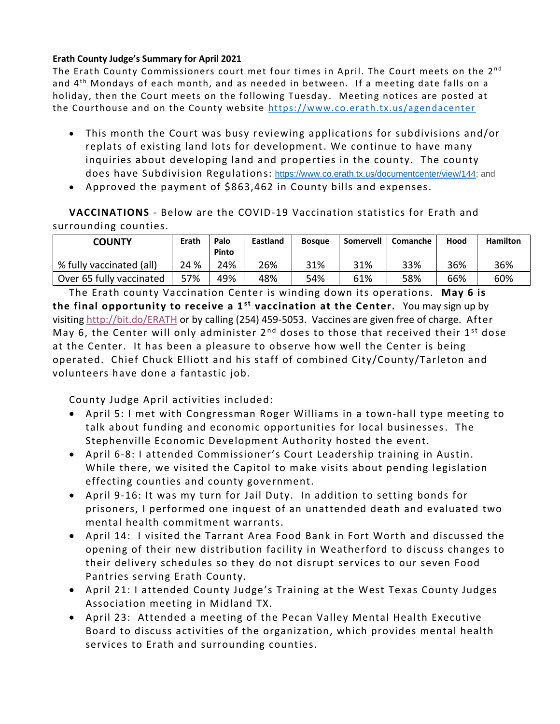## **Erath County Judge's Summary for April 2021**

The Erath County Commissioners court met four times in April. The Court meets on the 2<sup>nd</sup> and 4<sup>th</sup> Mondays of each month, and as needed in between. If a meeting date falls on a holiday, then the Court meets on the following Tuesday. Meeting notices are posted at the Courthouse and on the County website<https://www.co.erath.tx.us/agendacenter>

- This month the Court was busy reviewing applications for subdivisions and/or replats of existing land lots for development. We continue to have many inquiries about developing land and properties in the county. The county does have Subdivision Regulations: [https://www.co.erath.tx.us/documentcenter/view/144;](https://www.co.erath.tx.us/documentcenter/view/144) and
- Approved the payment of \$863,462 in County bills and expenses.

**VACCINATIONS** - Below are the COVID-19 Vaccination statistics for Erath and surrounding counties.

| <b>COUNTY</b>            | Erath | Palo<br>Pinto | <b>Eastland</b> | <b>Bosque</b> | Somervell | Comanche | Hood | <b>Hamilton</b> |
|--------------------------|-------|---------------|-----------------|---------------|-----------|----------|------|-----------------|
| % fully vaccinated (all) | 24 %  | 24%           | 26%             | 31%           | 31%       | 33%      | 36%  | 36%             |
| Over 65 fully vaccinated | 57%   | 49%           | 48%             | 54%           | 61%       | 58%      | 66%  | 60%             |

The Erath county Vaccination Center is winding down its operations. **May 6 is the final opportunity to receive a 1<sup>st</sup> vaccination at the Center.** You may sign up by visiting <http://bit.do/ERATH> or by calling (254) 459-5053. Vaccines are given free of charge. After May 6, the Center will only administer  $2^{nd}$  doses to those that received their  $1^{st}$  dose at the Center. It has been a pleasure to observe how well the Center is being operated. Chief Chuck Elliott and his staff of combined City/County/Tarleton and volunteers have done a fantastic job.

County Judge April activities included:

- April 5: I met with Congressman Roger Williams in a town-hall type meeting to talk about funding and economic opportunities for local businesses. The Stephenville Economic Development Authority hosted the event.
- April 6-8: I attended Commissioner's Court Leadership training in Austin. While there, we visited the Capitol to make visits about pending legislation effecting counties and county government.
- April 9-16: It was my turn for Jail Duty. In addition to setting bonds for prisoners, I performed one inquest of an unattended death and evaluated two mental health commitment warrants.
- April 14: I visited the Tarrant Area Food Bank in Fort Worth and discussed the opening of their new distribution facility in Weatherford to discuss changes to their delivery schedules so they do not disrupt services to our seven Food Pantries serving Erath County.
- April 21: I attended County Judge's Training at the West Texas County Judges Association meeting in Midland TX.
- April 23: Attended a meeting of the Pecan Valley Mental Health Executive Board to discuss activities of the organization, which provides mental health services to Erath and surrounding counties.